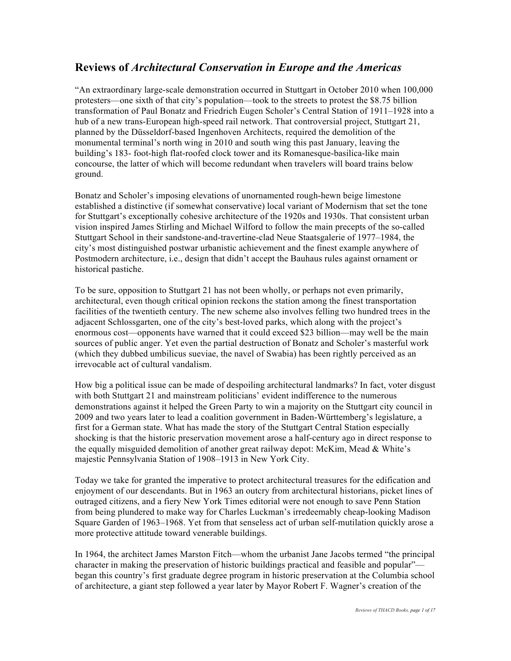## **Reviews of** *Architectural Conservation in Europe and the Americas*

"An extraordinary large-scale demonstration occurred in Stuttgart in October 2010 when 100,000 protesters—one sixth of that city's population—took to the streets to protest the \$8.75 billion transformation of Paul Bonatz and Friedrich Eugen Scholer's Central Station of 1911–1928 into a hub of a new trans-European high-speed rail network. That controversial project, Stuttgart 21, planned by the Düsseldorf-based Ingenhoven Architects, required the demolition of the monumental terminal's north wing in 2010 and south wing this past January, leaving the building's 183- foot-high flat-roofed clock tower and its Romanesque-basilica-like main concourse, the latter of which will become redundant when travelers will board trains below ground.

Bonatz and Scholer's imposing elevations of unornamented rough-hewn beige limestone established a distinctive (if somewhat conservative) local variant of Modernism that set the tone for Stuttgart's exceptionally cohesive architecture of the 1920s and 1930s. That consistent urban vision inspired James Stirling and Michael Wilford to follow the main precepts of the so-called Stuttgart School in their sandstone-and-travertine-clad Neue Staatsgalerie of 1977–1984, the city's most distinguished postwar urbanistic achievement and the finest example anywhere of Postmodern architecture, i.e., design that didn't accept the Bauhaus rules against ornament or historical pastiche.

To be sure, opposition to Stuttgart 21 has not been wholly, or perhaps not even primarily, architectural, even though critical opinion reckons the station among the finest transportation facilities of the twentieth century. The new scheme also involves felling two hundred trees in the adjacent Schlossgarten, one of the city's best-loved parks, which along with the project's enormous cost—opponents have warned that it could exceed \$23 billion—may well be the main sources of public anger. Yet even the partial destruction of Bonatz and Scholer's masterful work (which they dubbed umbilicus sueviae, the navel of Swabia) has been rightly perceived as an irrevocable act of cultural vandalism.

How big a political issue can be made of despoiling architectural landmarks? In fact, voter disgust with both Stuttgart 21 and mainstream politicians' evident indifference to the numerous demonstrations against it helped the Green Party to win a majority on the Stuttgart city council in 2009 and two years later to lead a coalition government in Baden-Württemberg's legislature, a first for a German state. What has made the story of the Stuttgart Central Station especially shocking is that the historic preservation movement arose a half-century ago in direct response to the equally misguided demolition of another great railway depot: McKim, Mead & White's majestic Pennsylvania Station of 1908–1913 in New York City.

Today we take for granted the imperative to protect architectural treasures for the edification and enjoyment of our descendants. But in 1963 an outcry from architectural historians, picket lines of outraged citizens, and a fiery New York Times editorial were not enough to save Penn Station from being plundered to make way for Charles Luckman's irredeemably cheap-looking Madison Square Garden of 1963–1968. Yet from that senseless act of urban self-mutilation quickly arose a more protective attitude toward venerable buildings.

In 1964, the architect James Marston Fitch—whom the urbanist Jane Jacobs termed "the principal character in making the preservation of historic buildings practical and feasible and popular" began this country's first graduate degree program in historic preservation at the Columbia school of architecture, a giant step followed a year later by Mayor Robert F. Wagner's creation of the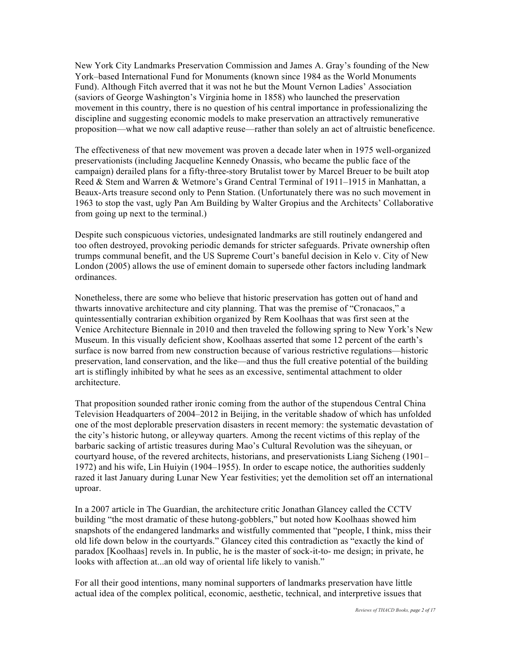New York City Landmarks Preservation Commission and James A. Gray's founding of the New York–based International Fund for Monuments (known since 1984 as the World Monuments Fund). Although Fitch averred that it was not he but the Mount Vernon Ladies' Association (saviors of George Washington's Virginia home in 1858) who launched the preservation movement in this country, there is no question of his central importance in professionalizing the discipline and suggesting economic models to make preservation an attractively remunerative proposition—what we now call adaptive reuse—rather than solely an act of altruistic beneficence.

The effectiveness of that new movement was proven a decade later when in 1975 well-organized preservationists (including Jacqueline Kennedy Onassis, who became the public face of the campaign) derailed plans for a fifty-three-story Brutalist tower by Marcel Breuer to be built atop Reed & Stem and Warren & Wetmore's Grand Central Terminal of 1911–1915 in Manhattan, a Beaux-Arts treasure second only to Penn Station. (Unfortunately there was no such movement in 1963 to stop the vast, ugly Pan Am Building by Walter Gropius and the Architects' Collaborative from going up next to the terminal.)

Despite such conspicuous victories, undesignated landmarks are still routinely endangered and too often destroyed, provoking periodic demands for stricter safeguards. Private ownership often trumps communal benefit, and the US Supreme Court's baneful decision in Kelo v. City of New London (2005) allows the use of eminent domain to supersede other factors including landmark ordinances.

Nonetheless, there are some who believe that historic preservation has gotten out of hand and thwarts innovative architecture and city planning. That was the premise of "Cronacaos," a quintessentially contrarian exhibition organized by Rem Koolhaas that was first seen at the Venice Architecture Biennale in 2010 and then traveled the following spring to New York's New Museum. In this visually deficient show, Koolhaas asserted that some 12 percent of the earth's surface is now barred from new construction because of various restrictive regulations—historic preservation, land conservation, and the like—and thus the full creative potential of the building art is stiflingly inhibited by what he sees as an excessive, sentimental attachment to older architecture.

That proposition sounded rather ironic coming from the author of the stupendous Central China Television Headquarters of 2004–2012 in Beijing, in the veritable shadow of which has unfolded one of the most deplorable preservation disasters in recent memory: the systematic devastation of the city's historic hutong, or alleyway quarters. Among the recent victims of this replay of the barbaric sacking of artistic treasures during Mao's Cultural Revolution was the siheyuan, or courtyard house, of the revered architects, historians, and preservationists Liang Sicheng (1901– 1972) and his wife, Lin Huiyin (1904–1955). In order to escape notice, the authorities suddenly razed it last January during Lunar New Year festivities; yet the demolition set off an international uproar.

In a 2007 article in The Guardian, the architecture critic Jonathan Glancey called the CCTV building "the most dramatic of these hutong-gobblers," but noted how Koolhaas showed him snapshots of the endangered landmarks and wistfully commented that "people, I think, miss their old life down below in the courtyards." Glancey cited this contradiction as "exactly the kind of paradox [Koolhaas] revels in. In public, he is the master of sock-it-to- me design; in private, he looks with affection at ...an old way of oriental life likely to vanish."

For all their good intentions, many nominal supporters of landmarks preservation have little actual idea of the complex political, economic, aesthetic, technical, and interpretive issues that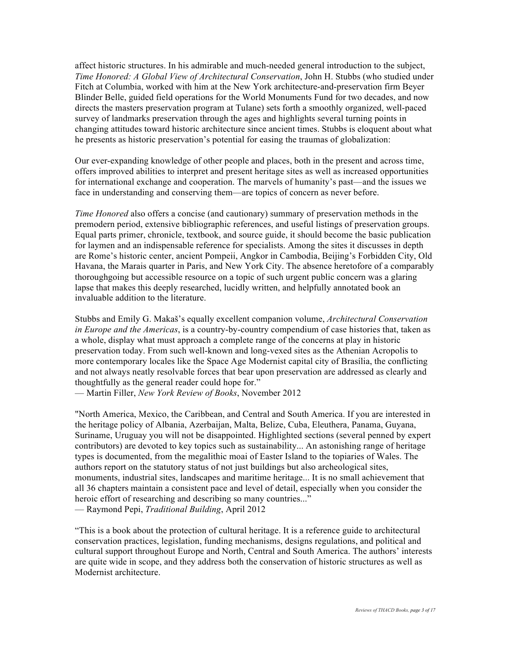affect historic structures. In his admirable and much-needed general introduction to the subject, *Time Honored: A Global View of Architectural Conservation*, John H. Stubbs (who studied under Fitch at Columbia, worked with him at the New York architecture-and-preservation firm Beyer Blinder Belle, guided field operations for the World Monuments Fund for two decades, and now directs the masters preservation program at Tulane) sets forth a smoothly organized, well-paced survey of landmarks preservation through the ages and highlights several turning points in changing attitudes toward historic architecture since ancient times. Stubbs is eloquent about what he presents as historic preservation's potential for easing the traumas of globalization:

Our ever-expanding knowledge of other people and places, both in the present and across time, offers improved abilities to interpret and present heritage sites as well as increased opportunities for international exchange and cooperation. The marvels of humanity's past—and the issues we face in understanding and conserving them—are topics of concern as never before.

*Time Honored* also offers a concise (and cautionary) summary of preservation methods in the premodern period, extensive bibliographic references, and useful listings of preservation groups. Equal parts primer, chronicle, textbook, and source guide, it should become the basic publication for laymen and an indispensable reference for specialists. Among the sites it discusses in depth are Rome's historic center, ancient Pompeii, Angkor in Cambodia, Beijing's Forbidden City, Old Havana, the Marais quarter in Paris, and New York City. The absence heretofore of a comparably thoroughgoing but accessible resource on a topic of such urgent public concern was a glaring lapse that makes this deeply researched, lucidly written, and helpfully annotated book an invaluable addition to the literature.

Stubbs and Emily G. Makaš's equally excellent companion volume, *Architectural Conservation in Europe and the Americas*, is a country-by-country compendium of case histories that, taken as a whole, display what must approach a complete range of the concerns at play in historic preservation today. From such well-known and long-vexed sites as the Athenian Acropolis to more contemporary locales like the Space Age Modernist capital city of Brasília, the conflicting and not always neatly resolvable forces that bear upon preservation are addressed as clearly and thoughtfully as the general reader could hope for."

— Martin Filler, *New York Review of Books*, November 2012

"North America, Mexico, the Caribbean, and Central and South America. If you are interested in the heritage policy of Albania, Azerbaijan, Malta, Belize, Cuba, Eleuthera, Panama, Guyana, Suriname, Uruguay you will not be disappointed. Highlighted sections (several penned by expert contributors) are devoted to key topics such as sustainability... An astonishing range of heritage types is documented, from the megalithic moai of Easter Island to the topiaries of Wales. The authors report on the statutory status of not just buildings but also archeological sites, monuments, industrial sites, landscapes and maritime heritage... It is no small achievement that all 36 chapters maintain a consistent pace and level of detail, especially when you consider the heroic effort of researching and describing so many countries..."

— Raymond Pepi, *Traditional Building*, April 2012

"This is a book about the protection of cultural heritage. It is a reference guide to architectural conservation practices, legislation, funding mechanisms, designs regulations, and political and cultural support throughout Europe and North, Central and South America. The authors' interests are quite wide in scope, and they address both the conservation of historic structures as well as Modernist architecture.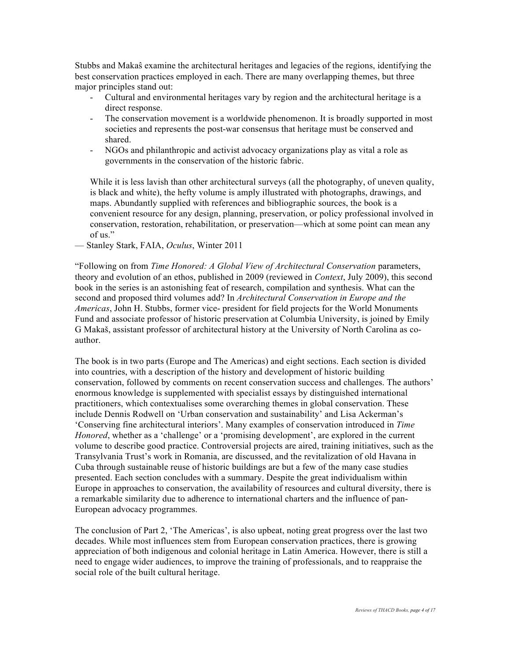Stubbs and Makaŝ examine the architectural heritages and legacies of the regions, identifying the best conservation practices employed in each. There are many overlapping themes, but three major principles stand out:

- Cultural and environmental heritages vary by region and the architectural heritage is a direct response.
- The conservation movement is a worldwide phenomenon. It is broadly supported in most societies and represents the post-war consensus that heritage must be conserved and shared.
- NGOs and philanthropic and activist advocacy organizations play as vital a role as governments in the conservation of the historic fabric.

While it is less lavish than other architectural surveys (all the photography, of uneven quality, is black and white), the hefty volume is amply illustrated with photographs, drawings, and maps. Abundantly supplied with references and bibliographic sources, the book is a convenient resource for any design, planning, preservation, or policy professional involved in conservation, restoration, rehabilitation, or preservation—which at some point can mean any of us."

— Stanley Stark, FAIA, *Oculus*, Winter 2011

"Following on from *Time Honored: A Global View of Architectural Conservation* parameters, theory and evolution of an ethos, published in 2009 (reviewed in *Context*, July 2009), this second book in the series is an astonishing feat of research, compilation and synthesis. What can the second and proposed third volumes add? In *Architectural Conservation in Europe and the Americas*, John H. Stubbs, former vice- president for field projects for the World Monuments Fund and associate professor of historic preservation at Columbia University, is joined by Emily G Makaš, assistant professor of architectural history at the University of North Carolina as coauthor.

The book is in two parts (Europe and The Americas) and eight sections. Each section is divided into countries, with a description of the history and development of historic building conservation, followed by comments on recent conservation success and challenges. The authors' enormous knowledge is supplemented with specialist essays by distinguished international practitioners, which contextualises some overarching themes in global conservation. These include Dennis Rodwell on 'Urban conservation and sustainability' and Lisa Ackerman's 'Conserving fine architectural interiors'. Many examples of conservation introduced in *Time Honored*, whether as a 'challenge' or a 'promising development', are explored in the current volume to describe good practice. Controversial projects are aired, training initiatives, such as the Transylvania Trust's work in Romania, are discussed, and the revitalization of old Havana in Cuba through sustainable reuse of historic buildings are but a few of the many case studies presented. Each section concludes with a summary. Despite the great individualism within Europe in approaches to conservation, the availability of resources and cultural diversity, there is a remarkable similarity due to adherence to international charters and the influence of pan-European advocacy programmes.

The conclusion of Part 2, 'The Americas', is also upbeat, noting great progress over the last two decades. While most influences stem from European conservation practices, there is growing appreciation of both indigenous and colonial heritage in Latin America. However, there is still a need to engage wider audiences, to improve the training of professionals, and to reappraise the social role of the built cultural heritage.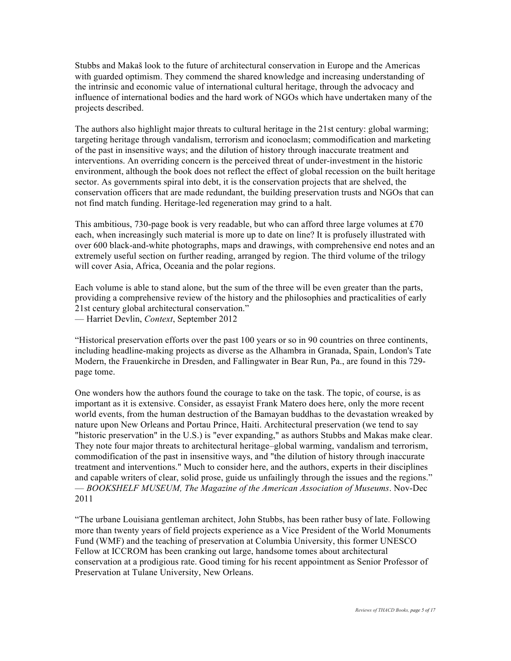Stubbs and Makaš look to the future of architectural conservation in Europe and the Americas with guarded optimism. They commend the shared knowledge and increasing understanding of the intrinsic and economic value of international cultural heritage, through the advocacy and influence of international bodies and the hard work of NGOs which have undertaken many of the projects described.

The authors also highlight major threats to cultural heritage in the 21st century: global warming; targeting heritage through vandalism, terrorism and iconoclasm; commodification and marketing of the past in insensitive ways; and the dilution of history through inaccurate treatment and interventions. An overriding concern is the perceived threat of under-investment in the historic environment, although the book does not reflect the effect of global recession on the built heritage sector. As governments spiral into debt, it is the conservation projects that are shelved, the conservation officers that are made redundant, the building preservation trusts and NGOs that can not find match funding. Heritage-led regeneration may grind to a halt.

This ambitious, 730-page book is very readable, but who can afford three large volumes at  $\text{\textsterling}70$ each, when increasingly such material is more up to date on line? It is profusely illustrated with over 600 black-and-white photographs, maps and drawings, with comprehensive end notes and an extremely useful section on further reading, arranged by region. The third volume of the trilogy will cover Asia, Africa, Oceania and the polar regions.

Each volume is able to stand alone, but the sum of the three will be even greater than the parts, providing a comprehensive review of the history and the philosophies and practicalities of early 21st century global architectural conservation."

— Harriet Devlin, *Context*, September 2012

"Historical preservation efforts over the past 100 years or so in 90 countries on three continents, including headline-making projects as diverse as the Alhambra in Granada, Spain, London's Tate Modern, the Frauenkirche in Dresden, and Fallingwater in Bear Run, Pa., are found in this 729 page tome.

One wonders how the authors found the courage to take on the task. The topic, of course, is as important as it is extensive. Consider, as essayist Frank Matero does here, only the more recent world events, from the human destruction of the Bamayan buddhas to the devastation wreaked by nature upon New Orleans and Portau Prince, Haiti. Architectural preservation (we tend to say "historic preservation" in the U.S.) is "ever expanding," as authors Stubbs and Makas make clear. They note four major threats to architectural heritage–global warming, vandalism and terrorism, commodification of the past in insensitive ways, and "the dilution of history through inaccurate treatment and interventions." Much to consider here, and the authors, experts in their disciplines and capable writers of clear, solid prose, guide us unfailingly through the issues and the regions." — *BOOKSHELF MUSEUM, The Magazine of the American Association of Museums*. Nov-Dec 2011

"The urbane Louisiana gentleman architect, John Stubbs, has been rather busy of late. Following more than twenty years of field projects experience as a Vice President of the World Monuments Fund (WMF) and the teaching of preservation at Columbia University, this former UNESCO Fellow at ICCROM has been cranking out large, handsome tomes about architectural conservation at a prodigious rate. Good timing for his recent appointment as Senior Professor of Preservation at Tulane University, New Orleans.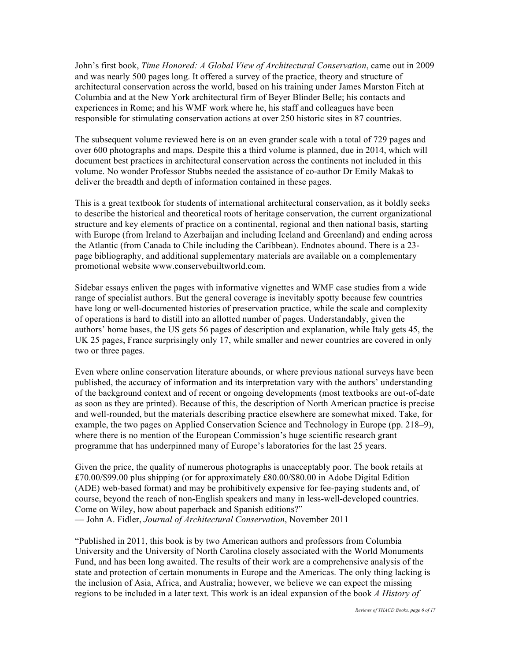John's first book, *Time Honored: A Global View of Architectural Conservation*, came out in 2009 and was nearly 500 pages long. It offered a survey of the practice, theory and structure of architectural conservation across the world, based on his training under James Marston Fitch at Columbia and at the New York architectural firm of Beyer Blinder Belle; his contacts and experiences in Rome; and his WMF work where he, his staff and colleagues have been responsible for stimulating conservation actions at over 250 historic sites in 87 countries.

The subsequent volume reviewed here is on an even grander scale with a total of 729 pages and over 600 photographs and maps. Despite this a third volume is planned, due in 2014, which will document best practices in architectural conservation across the continents not included in this volume. No wonder Professor Stubbs needed the assistance of co-author Dr Emily Makaš to deliver the breadth and depth of information contained in these pages.

This is a great textbook for students of international architectural conservation, as it boldly seeks to describe the historical and theoretical roots of heritage conservation, the current organizational structure and key elements of practice on a continental, regional and then national basis, starting with Europe (from Ireland to Azerbaijan and including Iceland and Greenland) and ending across the Atlantic (from Canada to Chile including the Caribbean). Endnotes abound. There is a 23 page bibliography, and additional supplementary materials are available on a complementary promotional website www.conservebuiltworld.com.

Sidebar essays enliven the pages with informative vignettes and WMF case studies from a wide range of specialist authors. But the general coverage is inevitably spotty because few countries have long or well-documented histories of preservation practice, while the scale and complexity of operations is hard to distill into an allotted number of pages. Understandably, given the authors' home bases, the US gets 56 pages of description and explanation, while Italy gets 45, the UK 25 pages, France surprisingly only 17, while smaller and newer countries are covered in only two or three pages.

Even where online conservation literature abounds, or where previous national surveys have been published, the accuracy of information and its interpretation vary with the authors' understanding of the background context and of recent or ongoing developments (most textbooks are out-of-date as soon as they are printed). Because of this, the description of North American practice is precise and well-rounded, but the materials describing practice elsewhere are somewhat mixed. Take, for example, the two pages on Applied Conservation Science and Technology in Europe (pp. 218–9), where there is no mention of the European Commission's huge scientific research grant programme that has underpinned many of Europe's laboratories for the last 25 years.

Given the price, the quality of numerous photographs is unacceptably poor. The book retails at £70.00/\$99.00 plus shipping (or for approximately £80.00/\$80.00 in Adobe Digital Edition (ADE) web-based format) and may be prohibitively expensive for fee-paying students and, of course, beyond the reach of non-English speakers and many in less-well-developed countries. Come on Wiley, how about paperback and Spanish editions?" — John A. Fidler, *Journal of Architectural Conservation*, November 2011

"Published in 2011, this book is by two American authors and professors from Columbia University and the University of North Carolina closely associated with the World Monuments Fund, and has been long awaited. The results of their work are a comprehensive analysis of the state and protection of certain monuments in Europe and the Americas. The only thing lacking is the inclusion of Asia, Africa, and Australia; however, we believe we can expect the missing regions to be included in a later text. This work is an ideal expansion of the book *A History of*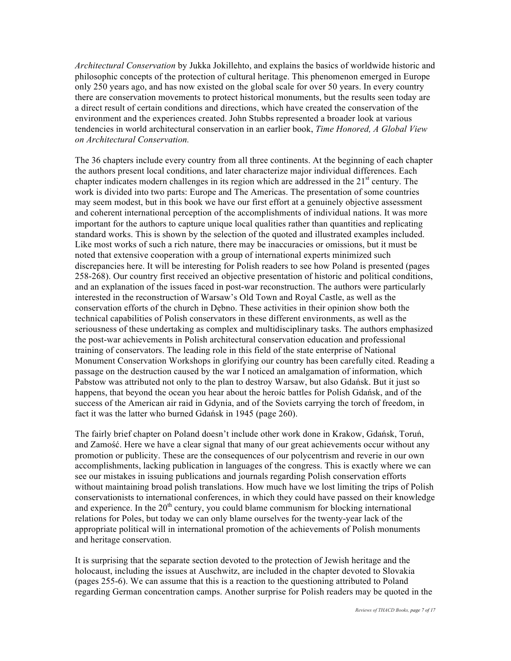*Architectural Conservation* by Jukka Jokillehto, and explains the basics of worldwide historic and philosophic concepts of the protection of cultural heritage. This phenomenon emerged in Europe only 250 years ago, and has now existed on the global scale for over 50 years. In every country there are conservation movements to protect historical monuments, but the results seen today are a direct result of certain conditions and directions, which have created the conservation of the environment and the experiences created. John Stubbs represented a broader look at various tendencies in world architectural conservation in an earlier book, *Time Honored, A Global View on Architectural Conservation.*

The 36 chapters include every country from all three continents. At the beginning of each chapter the authors present local conditions, and later characterize major individual differences. Each chapter indicates modern challenges in its region which are addressed in the  $21<sup>st</sup>$  century. The work is divided into two parts: Europe and The Americas. The presentation of some countries may seem modest, but in this book we have our first effort at a genuinely objective assessment and coherent international perception of the accomplishments of individual nations. It was more important for the authors to capture unique local qualities rather than quantities and replicating standard works. This is shown by the selection of the quoted and illustrated examples included. Like most works of such a rich nature, there may be inaccuracies or omissions, but it must be noted that extensive cooperation with a group of international experts minimized such discrepancies here. It will be interesting for Polish readers to see how Poland is presented (pages 258-268). Our country first received an objective presentation of historic and political conditions, and an explanation of the issues faced in post-war reconstruction. The authors were particularly interested in the reconstruction of Warsaw's Old Town and Royal Castle, as well as the conservation efforts of the church in Dębno. These activities in their opinion show both the technical capabilities of Polish conservators in these different environments, as well as the seriousness of these undertaking as complex and multidisciplinary tasks. The authors emphasized the post-war achievements in Polish architectural conservation education and professional training of conservators. The leading role in this field of the state enterprise of National Monument Conservation Workshops in glorifying our country has been carefully cited. Reading a passage on the destruction caused by the war I noticed an amalgamation of information, which Pabstow was attributed not only to the plan to destroy Warsaw, but also Gdańsk. But it just so happens, that beyond the ocean you hear about the heroic battles for Polish Gdańsk, and of the success of the American air raid in Gdynia, and of the Soviets carrying the torch of freedom, in fact it was the latter who burned Gdańsk in 1945 (page 260).

The fairly brief chapter on Poland doesn't include other work done in Krakow, Gdańsk, Toruń, and Zamość. Here we have a clear signal that many of our great achievements occur without any promotion or publicity. These are the consequences of our polycentrism and reverie in our own accomplishments, lacking publication in languages of the congress. This is exactly where we can see our mistakes in issuing publications and journals regarding Polish conservation efforts without maintaining broad polish translations. How much have we lost limiting the trips of Polish conservationists to international conferences, in which they could have passed on their knowledge and experience. In the  $20<sup>th</sup>$  century, you could blame communism for blocking international relations for Poles, but today we can only blame ourselves for the twenty-year lack of the appropriate political will in international promotion of the achievements of Polish monuments and heritage conservation.

It is surprising that the separate section devoted to the protection of Jewish heritage and the holocaust, including the issues at Auschwitz, are included in the chapter devoted to Slovakia (pages 255-6). We can assume that this is a reaction to the questioning attributed to Poland regarding German concentration camps. Another surprise for Polish readers may be quoted in the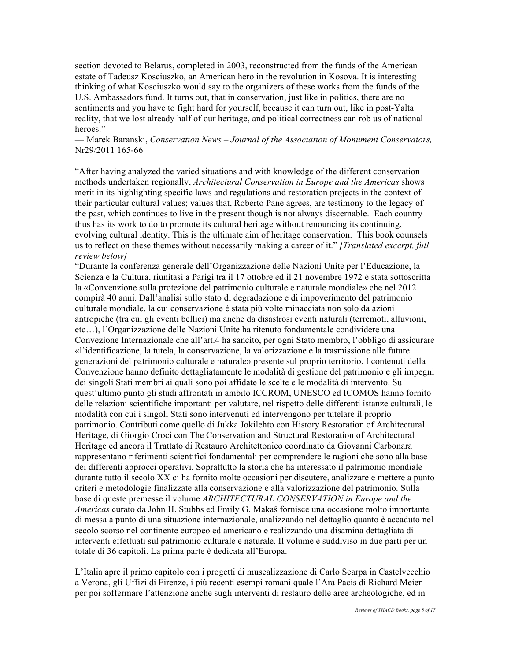section devoted to Belarus, completed in 2003, reconstructed from the funds of the American estate of Tadeusz Kosciuszko, an American hero in the revolution in Kosova. It is interesting thinking of what Kosciuszko would say to the organizers of these works from the funds of the U.S. Ambassadors fund. It turns out, that in conservation, just like in politics, there are no sentiments and you have to fight hard for yourself, because it can turn out, like in post-Yalta reality, that we lost already half of our heritage, and political correctness can rob us of national heroes."

— Marek Baranski, *Conservation News – Journal of the Association of Monument Conservators,* Nr29/2011 165-66

"After having analyzed the varied situations and with knowledge of the different conservation methods undertaken regionally, *Architectural Conservation in Europe and the Americas* shows merit in its highlighting specific laws and regulations and restoration projects in the context of their particular cultural values; values that, Roberto Pane agrees, are testimony to the legacy of the past, which continues to live in the present though is not always discernable. Each country thus has its work to do to promote its cultural heritage without renouncing its continuing, evolving cultural identity. This is the ultimate aim of heritage conservation. This book counsels us to reflect on these themes without necessarily making a career of it." *[Translated excerpt, full review below]*

"Durante la conferenza generale dell'Organizzazione delle Nazioni Unite per l'Educazione, la Scienza e la Cultura, riunitasi a Parigi tra il 17 ottobre ed il 21 novembre 1972 è stata sottoscritta la «Convenzione sulla protezione del patrimonio culturale e naturale mondiale» che nel 2012 compirà 40 anni. Dall'analisi sullo stato di degradazione e di impoverimento del patrimonio culturale mondiale, la cui conservazione è stata più volte minacciata non solo da azioni antropiche (tra cui gli eventi bellici) ma anche da disastrosi eventi naturali (terremoti, alluvioni, etc…), l'Organizzazione delle Nazioni Unite ha ritenuto fondamentale condividere una Convezione Internazionale che all'art.4 ha sancito, per ogni Stato membro, l'obbligo di assicurare «l'identificazione, la tutela, la conservazione, la valorizzazione e la trasmissione alle future generazioni del patrimonio culturale e naturale» presente sul proprio territorio. I contenuti della Convenzione hanno definito dettagliatamente le modalità di gestione del patrimonio e gli impegni dei singoli Stati membri ai quali sono poi affidate le scelte e le modalità di intervento. Su quest'ultimo punto gli studi affrontati in ambito ICCROM, UNESCO ed ICOMOS hanno fornito delle relazioni scientifiche importanti per valutare, nel rispetto delle differenti istanze culturali, le modalità con cui i singoli Stati sono intervenuti ed intervengono per tutelare il proprio patrimonio. Contributi come quello di Jukka Jokilehto con History Restoration of Architectural Heritage, di Giorgio Croci con The Conservation and Structural Restoration of Architectural Heritage ed ancora il Trattato di Restauro Architettonico coordinato da Giovanni Carbonara rappresentano riferimenti scientifici fondamentali per comprendere le ragioni che sono alla base dei differenti approcci operativi. Soprattutto la storia che ha interessato il patrimonio mondiale durante tutto il secolo XX ci ha fornito molte occasioni per discutere, analizzare e mettere a punto criteri e metodologie finalizzate alla conservazione e alla valorizzazione del patrimonio. Sulla base di queste premesse il volume *ARCHITECTURAL CONSERVATION in Europe and the Americas* curato da John H. Stubbs ed Emily G. Makaŝ fornisce una occasione molto importante di messa a punto di una situazione internazionale, analizzando nel dettaglio quanto è accaduto nel secolo scorso nel continente europeo ed americano e realizzando una disamina dettagliata di interventi effettuati sul patrimonio culturale e naturale. Il volume è suddiviso in due parti per un totale di 36 capitoli. La prima parte è dedicata all'Europa.

L'Italia apre il primo capitolo con i progetti di musealizzazione di Carlo Scarpa in Castelvecchio a Verona, gli Uffizi di Firenze, i più recenti esempi romani quale l'Ara Pacis di Richard Meier per poi soffermare l'attenzione anche sugli interventi di restauro delle aree archeologiche, ed in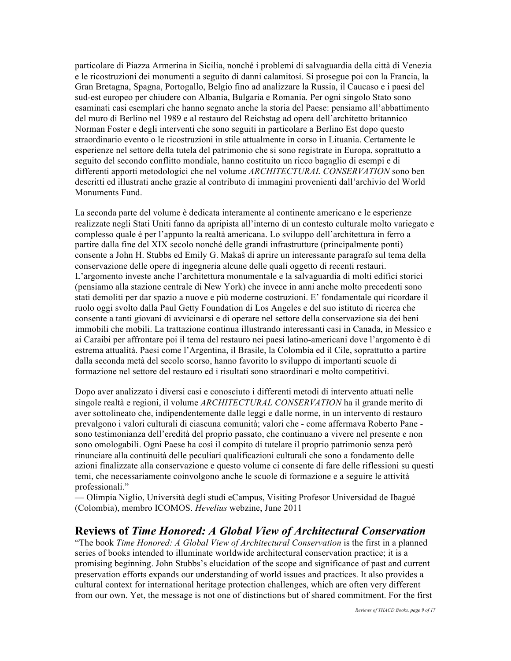particolare di Piazza Armerina in Sicilia, nonché i problemi di salvaguardia della città di Venezia e le ricostruzioni dei monumenti a seguito di danni calamitosi. Si prosegue poi con la Francia, la Gran Bretagna, Spagna, Portogallo, Belgio fino ad analizzare la Russia, il Caucaso e i paesi del sud-est europeo per chiudere con Albania, Bulgaria e Romania. Per ogni singolo Stato sono esaminati casi esemplari che hanno segnato anche la storia del Paese: pensiamo all'abbattimento del muro di Berlino nel 1989 e al restauro del Reichstag ad opera dell'architetto britannico Norman Foster e degli interventi che sono seguiti in particolare a Berlino Est dopo questo straordinario evento o le ricostruzioni in stile attualmente in corso in Lituania. Certamente le esperienze nel settore della tutela del patrimonio che si sono registrate in Europa, soprattutto a seguito del secondo conflitto mondiale, hanno costituito un ricco bagaglio di esempi e di differenti apporti metodologici che nel volume *ARCHITECTURAL CONSERVATION* sono ben descritti ed illustrati anche grazie al contributo di immagini provenienti dall'archivio del World Monuments Fund.

La seconda parte del volume è dedicata interamente al continente americano e le esperienze realizzate negli Stati Uniti fanno da apripista all'interno di un contesto culturale molto variegato e complesso quale è per l'appunto la realtà americana. Lo sviluppo dell'architettura in ferro a partire dalla fine del XIX secolo nonché delle grandi infrastrutture (principalmente ponti) consente a John H. Stubbs ed Emily G. Makaŝ di aprire un interessante paragrafo sul tema della conservazione delle opere di ingegneria alcune delle quali oggetto di recenti restauri. L'argomento investe anche l'architettura monumentale e la salvaguardia di molti edifici storici (pensiamo alla stazione centrale di New York) che invece in anni anche molto precedenti sono stati demoliti per dar spazio a nuove e più moderne costruzioni. E' fondamentale qui ricordare il ruolo oggi svolto dalla Paul Getty Foundation di Los Angeles e del suo istituto di ricerca che consente a tanti giovani di avvicinarsi e di operare nel settore della conservazione sia dei beni immobili che mobili. La trattazione continua illustrando interessanti casi in Canada, in Messico e ai Caraibi per affrontare poi il tema del restauro nei paesi latino-americani dove l'argomento è di estrema attualità. Paesi come l'Argentina, il Brasile, la Colombia ed il Cile, soprattutto a partire dalla seconda metà del secolo scorso, hanno favorito lo sviluppo di importanti scuole di formazione nel settore del restauro ed i risultati sono straordinari e molto competitivi.

Dopo aver analizzato i diversi casi e conosciuto i differenti metodi di intervento attuati nelle singole realtà e regioni, il volume *ARCHITECTURAL CONSERVATION* ha il grande merito di aver sottolineato che, indipendentemente dalle leggi e dalle norme, in un intervento di restauro prevalgono i valori culturali di ciascuna comunità; valori che - come affermava Roberto Pane sono testimonianza dell'eredità del proprio passato, che continuano a vivere nel presente e non sono omologabili. Ogni Paese ha così il compito di tutelare il proprio patrimonio senza però rinunciare alla continuità delle peculiari qualificazioni culturali che sono a fondamento delle azioni finalizzate alla conservazione e questo volume ci consente di fare delle riflessioni su questi temi, che necessariamente coinvolgono anche le scuole di formazione e a seguire le attività professionali."

— Olimpia Niglio, Università degli studi eCampus, Visiting Profesor Universidad de Ibagué (Colombia), membro ICOMOS. *Hevelius* webzine, June 2011

## **Reviews of** *Time Honored: A Global View of Architectural Conservation*

"The book *Time Honored: A Global View of Architectural Conservation* is the first in a planned series of books intended to illuminate worldwide architectural conservation practice; it is a promising beginning. John Stubbs's elucidation of the scope and significance of past and current preservation efforts expands our understanding of world issues and practices. It also provides a cultural context for international heritage protection challenges, which are often very different from our own. Yet, the message is not one of distinctions but of shared commitment. For the first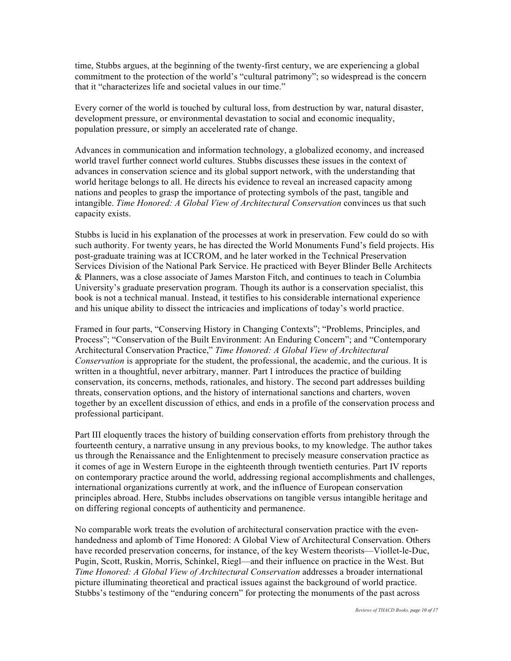time, Stubbs argues, at the beginning of the twenty-first century, we are experiencing a global commitment to the protection of the world's "cultural patrimony"; so widespread is the concern that it "characterizes life and societal values in our time."

Every corner of the world is touched by cultural loss, from destruction by war, natural disaster, development pressure, or environmental devastation to social and economic inequality, population pressure, or simply an accelerated rate of change.

Advances in communication and information technology, a globalized economy, and increased world travel further connect world cultures. Stubbs discusses these issues in the context of advances in conservation science and its global support network, with the understanding that world heritage belongs to all. He directs his evidence to reveal an increased capacity among nations and peoples to grasp the importance of protecting symbols of the past, tangible and intangible. *Time Honored: A Global View of Architectural Conservation* convinces us that such capacity exists.

Stubbs is lucid in his explanation of the processes at work in preservation. Few could do so with such authority. For twenty years, he has directed the World Monuments Fund's field projects. His post-graduate training was at ICCROM, and he later worked in the Technical Preservation Services Division of the National Park Service. He practiced with Beyer Blinder Belle Architects & Planners, was a close associate of James Marston Fitch, and continues to teach in Columbia University's graduate preservation program. Though its author is a conservation specialist, this book is not a technical manual. Instead, it testifies to his considerable international experience and his unique ability to dissect the intricacies and implications of today's world practice.

Framed in four parts, "Conserving History in Changing Contexts"; "Problems, Principles, and Process"; "Conservation of the Built Environment: An Enduring Concern"; and "Contemporary Architectural Conservation Practice," *Time Honored: A Global View of Architectural Conservation* is appropriate for the student, the professional, the academic, and the curious. It is written in a thoughtful, never arbitrary, manner. Part I introduces the practice of building conservation, its concerns, methods, rationales, and history. The second part addresses building threats, conservation options, and the history of international sanctions and charters, woven together by an excellent discussion of ethics, and ends in a profile of the conservation process and professional participant.

Part III eloquently traces the history of building conservation efforts from prehistory through the fourteenth century, a narrative unsung in any previous books, to my knowledge. The author takes us through the Renaissance and the Enlightenment to precisely measure conservation practice as it comes of age in Western Europe in the eighteenth through twentieth centuries. Part IV reports on contemporary practice around the world, addressing regional accomplishments and challenges, international organizations currently at work, and the influence of European conservation principles abroad. Here, Stubbs includes observations on tangible versus intangible heritage and on differing regional concepts of authenticity and permanence.

No comparable work treats the evolution of architectural conservation practice with the evenhandedness and aplomb of Time Honored: A Global View of Architectural Conservation. Others have recorded preservation concerns, for instance, of the key Western theorists—Viollet-le-Duc, Pugin, Scott, Ruskin, Morris, Schinkel, Riegl—and their influence on practice in the West. But *Time Honored: A Global View of Architectural Conservation* addresses a broader international picture illuminating theoretical and practical issues against the background of world practice. Stubbs's testimony of the "enduring concern" for protecting the monuments of the past across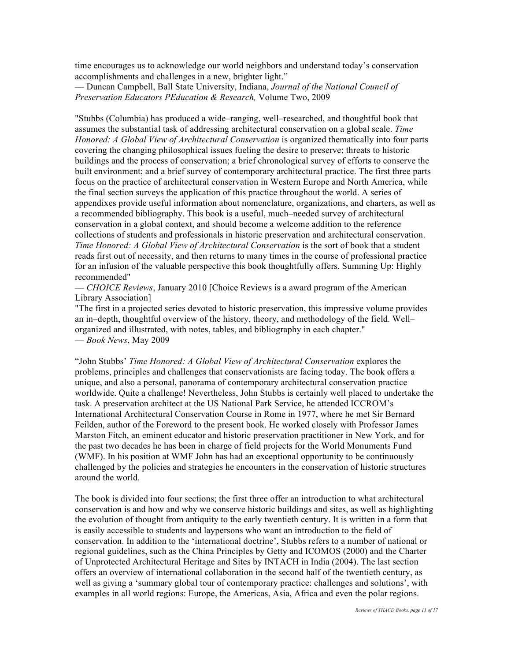time encourages us to acknowledge our world neighbors and understand today's conservation accomplishments and challenges in a new, brighter light."

— Duncan Campbell, Ball State University, Indiana, *Journal of the National Council of Preservation Educators PEducation & Research,* Volume Two, 2009

"Stubbs (Columbia) has produced a wide–ranging, well–researched, and thoughtful book that assumes the substantial task of addressing architectural conservation on a global scale. *Time Honored: A Global View of Architectural Conservation* is organized thematically into four parts covering the changing philosophical issues fueling the desire to preserve; threats to historic buildings and the process of conservation; a brief chronological survey of efforts to conserve the built environment; and a brief survey of contemporary architectural practice. The first three parts focus on the practice of architectural conservation in Western Europe and North America, while the final section surveys the application of this practice throughout the world. A series of appendixes provide useful information about nomenclature, organizations, and charters, as well as a recommended bibliography. This book is a useful, much–needed survey of architectural conservation in a global context, and should become a welcome addition to the reference collections of students and professionals in historic preservation and architectural conservation. *Time Honored: A Global View of Architectural Conservation* is the sort of book that a student reads first out of necessity, and then returns to many times in the course of professional practice for an infusion of the valuable perspective this book thoughtfully offers. Summing Up: Highly recommended"

— *CHOICE Reviews*, January 2010 [Choice Reviews is a award program of the American Library Association]

"The first in a projected series devoted to historic preservation, this impressive volume provides an in–depth, thoughtful overview of the history, theory, and methodology of the field. Well– organized and illustrated, with notes, tables, and bibliography in each chapter." — *Book News*, May 2009

"John Stubbs' *Time Honored: A Global View of Architectural Conservation* explores the problems, principles and challenges that conservationists are facing today. The book offers a unique, and also a personal, panorama of contemporary architectural conservation practice worldwide. Quite a challenge! Nevertheless, John Stubbs is certainly well placed to undertake the task. A preservation architect at the US National Park Service, he attended ICCROM's International Architectural Conservation Course in Rome in 1977, where he met Sir Bernard Feilden, author of the Foreword to the present book. He worked closely with Professor James Marston Fitch, an eminent educator and historic preservation practitioner in New York, and for the past two decades he has been in charge of field projects for the World Monuments Fund (WMF). In his position at WMF John has had an exceptional opportunity to be continuously challenged by the policies and strategies he encounters in the conservation of historic structures around the world.

The book is divided into four sections; the first three offer an introduction to what architectural conservation is and how and why we conserve historic buildings and sites, as well as highlighting the evolution of thought from antiquity to the early twentieth century. It is written in a form that is easily accessible to students and laypersons who want an introduction to the field of conservation. In addition to the 'international doctrine', Stubbs refers to a number of national or regional guidelines, such as the China Principles by Getty and ICOMOS (2000) and the Charter of Unprotected Architectural Heritage and Sites by INTACH in India (2004). The last section offers an overview of international collaboration in the second half of the twentieth century, as well as giving a 'summary global tour of contemporary practice: challenges and solutions', with examples in all world regions: Europe, the Americas, Asia, Africa and even the polar regions.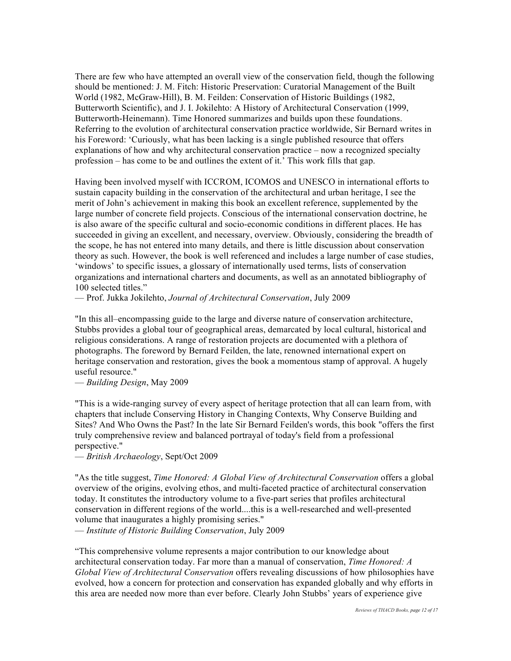There are few who have attempted an overall view of the conservation field, though the following should be mentioned: J. M. Fitch: Historic Preservation: Curatorial Management of the Built World (1982, McGraw-Hill), B. M. Feilden: Conservation of Historic Buildings (1982, Butterworth Scientific), and J. I. Jokilehto: A History of Architectural Conservation (1999, Butterworth-Heinemann). Time Honored summarizes and builds upon these foundations. Referring to the evolution of architectural conservation practice worldwide, Sir Bernard writes in his Foreword: 'Curiously, what has been lacking is a single published resource that offers explanations of how and why architectural conservation practice – now a recognized specialty profession – has come to be and outlines the extent of it.' This work fills that gap.

Having been involved myself with ICCROM, ICOMOS and UNESCO in international efforts to sustain capacity building in the conservation of the architectural and urban heritage, I see the merit of John's achievement in making this book an excellent reference, supplemented by the large number of concrete field projects. Conscious of the international conservation doctrine, he is also aware of the specific cultural and socio-economic conditions in different places. He has succeeded in giving an excellent, and necessary, overview. Obviously, considering the breadth of the scope, he has not entered into many details, and there is little discussion about conservation theory as such. However, the book is well referenced and includes a large number of case studies, 'windows' to specific issues, a glossary of internationally used terms, lists of conservation organizations and international charters and documents, as well as an annotated bibliography of 100 selected titles."

— Prof. Jukka Jokilehto, *Journal of Architectural Conservation*, July 2009

"In this all–encompassing guide to the large and diverse nature of conservation architecture, Stubbs provides a global tour of geographical areas, demarcated by local cultural, historical and religious considerations. A range of restoration projects are documented with a plethora of photographs. The foreword by Bernard Feilden, the late, renowned international expert on heritage conservation and restoration, gives the book a momentous stamp of approval. A hugely useful resource."

— *Building Design*, May 2009

"This is a wide-ranging survey of every aspect of heritage protection that all can learn from, with chapters that include Conserving History in Changing Contexts, Why Conserve Building and Sites? And Who Owns the Past? In the late Sir Bernard Feilden's words, this book "offers the first truly comprehensive review and balanced portrayal of today's field from a professional perspective."

— *British Archaeology*, Sept/Oct 2009

"As the title suggest, *Time Honored: A Global View of Architectural Conservation* offers a global overview of the origins, evolving ethos, and multi-faceted practice of architectural conservation today. It constitutes the introductory volume to a five-part series that profiles architectural conservation in different regions of the world....this is a well-researched and well-presented volume that inaugurates a highly promising series."

— *Institute of Historic Building Conservation*, July 2009

"This comprehensive volume represents a major contribution to our knowledge about architectural conservation today. Far more than a manual of conservation, *Time Honored: A Global View of Architectural Conservation* offers revealing discussions of how philosophies have evolved, how a concern for protection and conservation has expanded globally and why efforts in this area are needed now more than ever before. Clearly John Stubbs' years of experience give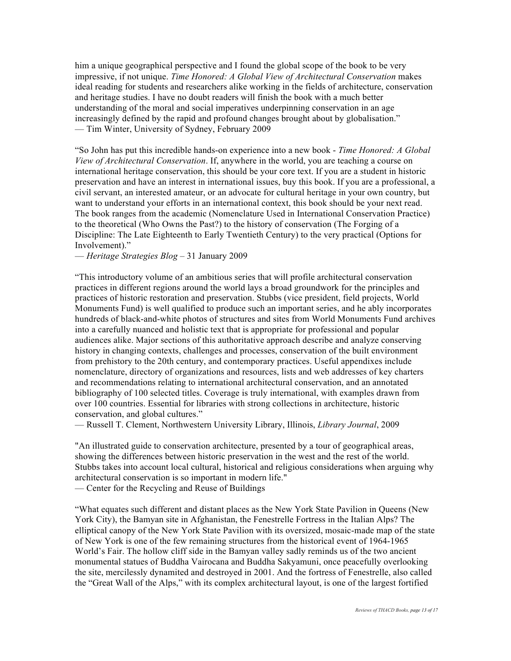him a unique geographical perspective and I found the global scope of the book to be very impressive, if not unique. *Time Honored: A Global View of Architectural Conservation* makes ideal reading for students and researchers alike working in the fields of architecture, conservation and heritage studies. I have no doubt readers will finish the book with a much better understanding of the moral and social imperatives underpinning conservation in an age increasingly defined by the rapid and profound changes brought about by globalisation." — Tim Winter, University of Sydney, February 2009

"So John has put this incredible hands-on experience into a new book - *Time Honored: A Global View of Architectural Conservation*. If, anywhere in the world, you are teaching a course on international heritage conservation, this should be your core text. If you are a student in historic preservation and have an interest in international issues, buy this book. If you are a professional, a civil servant, an interested amateur, or an advocate for cultural heritage in your own country, but want to understand your efforts in an international context, this book should be your next read. The book ranges from the academic (Nomenclature Used in International Conservation Practice) to the theoretical (Who Owns the Past?) to the history of conservation (The Forging of a Discipline: The Late Eighteenth to Early Twentieth Century) to the very practical (Options for Involvement)."

— *Heritage Strategies Blog* – 31 January 2009

"This introductory volume of an ambitious series that will profile architectural conservation practices in different regions around the world lays a broad groundwork for the principles and practices of historic restoration and preservation. Stubbs (vice president, field projects, World Monuments Fund) is well qualified to produce such an important series, and he ably incorporates hundreds of black-and-white photos of structures and sites from World Monuments Fund archives into a carefully nuanced and holistic text that is appropriate for professional and popular audiences alike. Major sections of this authoritative approach describe and analyze conserving history in changing contexts, challenges and processes, conservation of the built environment from prehistory to the 20th century, and contemporary practices. Useful appendixes include nomenclature, directory of organizations and resources, lists and web addresses of key charters and recommendations relating to international architectural conservation, and an annotated bibliography of 100 selected titles. Coverage is truly international, with examples drawn from over 100 countries. Essential for libraries with strong collections in architecture, historic conservation, and global cultures."

— Russell T. Clement, Northwestern University Library, Illinois, *Library Journal*, 2009

"An illustrated guide to conservation architecture, presented by a tour of geographical areas, showing the differences between historic preservation in the west and the rest of the world. Stubbs takes into account local cultural, historical and religious considerations when arguing why architectural conservation is so important in modern life."

— Center for the Recycling and Reuse of Buildings

"What equates such different and distant places as the New York State Pavilion in Queens (New York City), the Bamyan site in Afghanistan, the Fenestrelle Fortress in the Italian Alps? The elliptical canopy of the New York State Pavilion with its oversized, mosaic-made map of the state of New York is one of the few remaining structures from the historical event of 1964-1965 World's Fair. The hollow cliff side in the Bamyan valley sadly reminds us of the two ancient monumental statues of Buddha Vairocana and Buddha Sakyamuni, once peacefully overlooking the site, mercilessly dynamited and destroyed in 2001. And the fortress of Fenestrelle, also called the "Great Wall of the Alps," with its complex architectural layout, is one of the largest fortified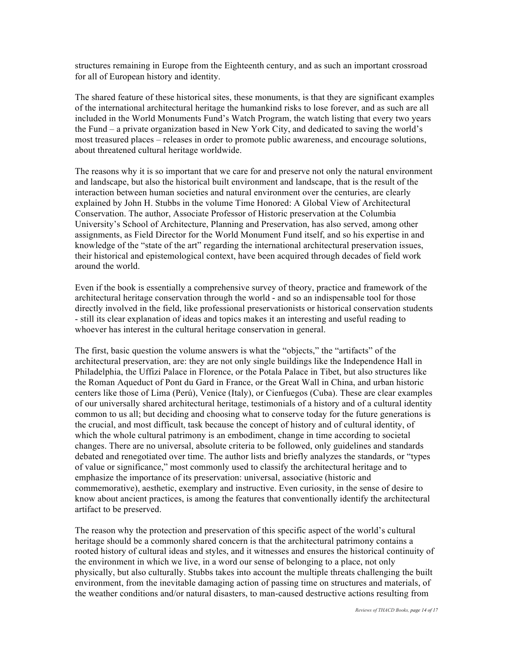structures remaining in Europe from the Eighteenth century, and as such an important crossroad for all of European history and identity.

The shared feature of these historical sites, these monuments, is that they are significant examples of the international architectural heritage the humankind risks to lose forever, and as such are all included in the World Monuments Fund's Watch Program, the watch listing that every two years the Fund – a private organization based in New York City, and dedicated to saving the world's most treasured places – releases in order to promote public awareness, and encourage solutions, about threatened cultural heritage worldwide.

The reasons why it is so important that we care for and preserve not only the natural environment and landscape, but also the historical built environment and landscape, that is the result of the interaction between human societies and natural environment over the centuries, are clearly explained by John H. Stubbs in the volume Time Honored: A Global View of Architectural Conservation. The author, Associate Professor of Historic preservation at the Columbia University's School of Architecture, Planning and Preservation, has also served, among other assignments, as Field Director for the World Monument Fund itself, and so his expertise in and knowledge of the "state of the art" regarding the international architectural preservation issues, their historical and epistemological context, have been acquired through decades of field work around the world.

Even if the book is essentially a comprehensive survey of theory, practice and framework of the architectural heritage conservation through the world - and so an indispensable tool for those directly involved in the field, like professional preservationists or historical conservation students - still its clear explanation of ideas and topics makes it an interesting and useful reading to whoever has interest in the cultural heritage conservation in general.

The first, basic question the volume answers is what the "objects," the "artifacts" of the architectural preservation, are: they are not only single buildings like the Independence Hall in Philadelphia, the Uffizi Palace in Florence, or the Potala Palace in Tibet, but also structures like the Roman Aqueduct of Pont du Gard in France, or the Great Wall in China, and urban historic centers like those of Lima (Perú), Venice (Italy), or Cienfuegos (Cuba). These are clear examples of our universally shared architectural heritage, testimonials of a history and of a cultural identity common to us all; but deciding and choosing what to conserve today for the future generations is the crucial, and most difficult, task because the concept of history and of cultural identity, of which the whole cultural patrimony is an embodiment, change in time according to societal changes. There are no universal, absolute criteria to be followed, only guidelines and standards debated and renegotiated over time. The author lists and briefly analyzes the standards, or "types of value or significance," most commonly used to classify the architectural heritage and to emphasize the importance of its preservation: universal, associative (historic and commemorative), aesthetic, exemplary and instructive. Even curiosity, in the sense of desire to know about ancient practices, is among the features that conventionally identify the architectural artifact to be preserved.

The reason why the protection and preservation of this specific aspect of the world's cultural heritage should be a commonly shared concern is that the architectural patrimony contains a rooted history of cultural ideas and styles, and it witnesses and ensures the historical continuity of the environment in which we live, in a word our sense of belonging to a place, not only physically, but also culturally. Stubbs takes into account the multiple threats challenging the built environment, from the inevitable damaging action of passing time on structures and materials, of the weather conditions and/or natural disasters, to man-caused destructive actions resulting from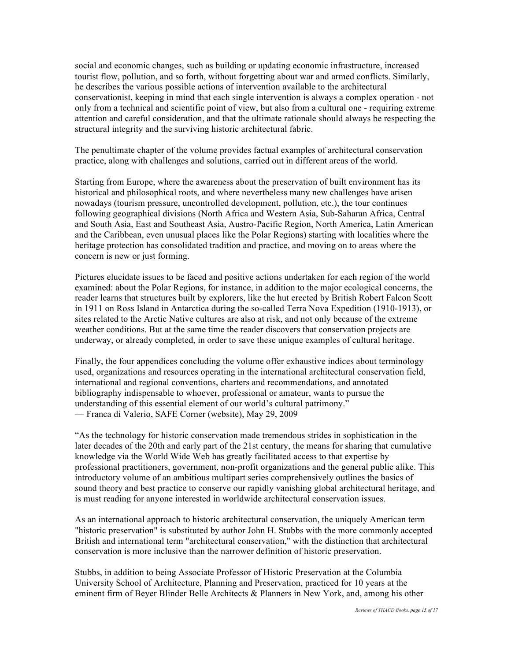social and economic changes, such as building or updating economic infrastructure, increased tourist flow, pollution, and so forth, without forgetting about war and armed conflicts. Similarly, he describes the various possible actions of intervention available to the architectural conservationist, keeping in mind that each single intervention is always a complex operation - not only from a technical and scientific point of view, but also from a cultural one - requiring extreme attention and careful consideration, and that the ultimate rationale should always be respecting the structural integrity and the surviving historic architectural fabric.

The penultimate chapter of the volume provides factual examples of architectural conservation practice, along with challenges and solutions, carried out in different areas of the world.

Starting from Europe, where the awareness about the preservation of built environment has its historical and philosophical roots, and where nevertheless many new challenges have arisen nowadays (tourism pressure, uncontrolled development, pollution, etc.), the tour continues following geographical divisions (North Africa and Western Asia, Sub-Saharan Africa, Central and South Asia, East and Southeast Asia, Austro-Pacific Region, North America, Latin American and the Caribbean, even unusual places like the Polar Regions) starting with localities where the heritage protection has consolidated tradition and practice, and moving on to areas where the concern is new or just forming.

Pictures elucidate issues to be faced and positive actions undertaken for each region of the world examined: about the Polar Regions, for instance, in addition to the major ecological concerns, the reader learns that structures built by explorers, like the hut erected by British Robert Falcon Scott in 1911 on Ross Island in Antarctica during the so-called Terra Nova Expedition (1910-1913), or sites related to the Arctic Native cultures are also at risk, and not only because of the extreme weather conditions. But at the same time the reader discovers that conservation projects are underway, or already completed, in order to save these unique examples of cultural heritage.

Finally, the four appendices concluding the volume offer exhaustive indices about terminology used, organizations and resources operating in the international architectural conservation field, international and regional conventions, charters and recommendations, and annotated bibliography indispensable to whoever, professional or amateur, wants to pursue the understanding of this essential element of our world's cultural patrimony." — Franca di Valerio, SAFE Corner (website), May 29, 2009

"As the technology for historic conservation made tremendous strides in sophistication in the later decades of the 20th and early part of the 21st century, the means for sharing that cumulative knowledge via the World Wide Web has greatly facilitated access to that expertise by professional practitioners, government, non-profit organizations and the general public alike. This introductory volume of an ambitious multipart series comprehensively outlines the basics of sound theory and best practice to conserve our rapidly vanishing global architectural heritage, and is must reading for anyone interested in worldwide architectural conservation issues.

As an international approach to historic architectural conservation, the uniquely American term "historic preservation" is substituted by author John H. Stubbs with the more commonly accepted British and international term "architectural conservation," with the distinction that architectural conservation is more inclusive than the narrower definition of historic preservation.

Stubbs, in addition to being Associate Professor of Historic Preservation at the Columbia University School of Architecture, Planning and Preservation, practiced for 10 years at the eminent firm of Beyer Blinder Belle Architects & Planners in New York, and, among his other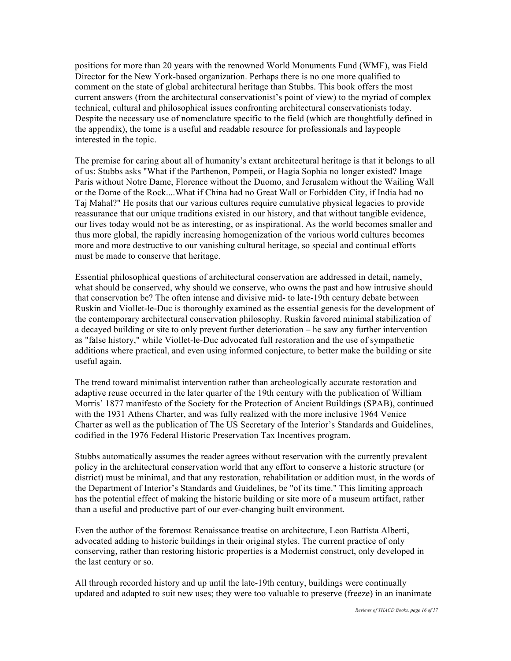positions for more than 20 years with the renowned World Monuments Fund (WMF), was Field Director for the New York-based organization. Perhaps there is no one more qualified to comment on the state of global architectural heritage than Stubbs. This book offers the most current answers (from the architectural conservationist's point of view) to the myriad of complex technical, cultural and philosophical issues confronting architectural conservationists today. Despite the necessary use of nomenclature specific to the field (which are thoughtfully defined in the appendix), the tome is a useful and readable resource for professionals and laypeople interested in the topic.

The premise for caring about all of humanity's extant architectural heritage is that it belongs to all of us: Stubbs asks "What if the Parthenon, Pompeii, or Hagia Sophia no longer existed? Image Paris without Notre Dame, Florence without the Duomo, and Jerusalem without the Wailing Wall or the Dome of the Rock....What if China had no Great Wall or Forbidden City, if India had no Taj Mahal?" He posits that our various cultures require cumulative physical legacies to provide reassurance that our unique traditions existed in our history, and that without tangible evidence, our lives today would not be as interesting, or as inspirational. As the world becomes smaller and thus more global, the rapidly increasing homogenization of the various world cultures becomes more and more destructive to our vanishing cultural heritage, so special and continual efforts must be made to conserve that heritage.

Essential philosophical questions of architectural conservation are addressed in detail, namely, what should be conserved, why should we conserve, who owns the past and how intrusive should that conservation be? The often intense and divisive mid- to late-19th century debate between Ruskin and Viollet-le-Duc is thoroughly examined as the essential genesis for the development of the contemporary architectural conservation philosophy. Ruskin favored minimal stabilization of a decayed building or site to only prevent further deterioration – he saw any further intervention as "false history," while Viollet-le-Duc advocated full restoration and the use of sympathetic additions where practical, and even using informed conjecture, to better make the building or site useful again.

The trend toward minimalist intervention rather than archeologically accurate restoration and adaptive reuse occurred in the later quarter of the 19th century with the publication of William Morris' 1877 manifesto of the Society for the Protection of Ancient Buildings (SPAB), continued with the 1931 Athens Charter, and was fully realized with the more inclusive 1964 Venice Charter as well as the publication of The US Secretary of the Interior's Standards and Guidelines, codified in the 1976 Federal Historic Preservation Tax Incentives program.

Stubbs automatically assumes the reader agrees without reservation with the currently prevalent policy in the architectural conservation world that any effort to conserve a historic structure (or district) must be minimal, and that any restoration, rehabilitation or addition must, in the words of the Department of Interior's Standards and Guidelines, be "of its time." This limiting approach has the potential effect of making the historic building or site more of a museum artifact, rather than a useful and productive part of our ever-changing built environment.

Even the author of the foremost Renaissance treatise on architecture, Leon Battista Alberti, advocated adding to historic buildings in their original styles. The current practice of only conserving, rather than restoring historic properties is a Modernist construct, only developed in the last century or so.

All through recorded history and up until the late-19th century, buildings were continually updated and adapted to suit new uses; they were too valuable to preserve (freeze) in an inanimate